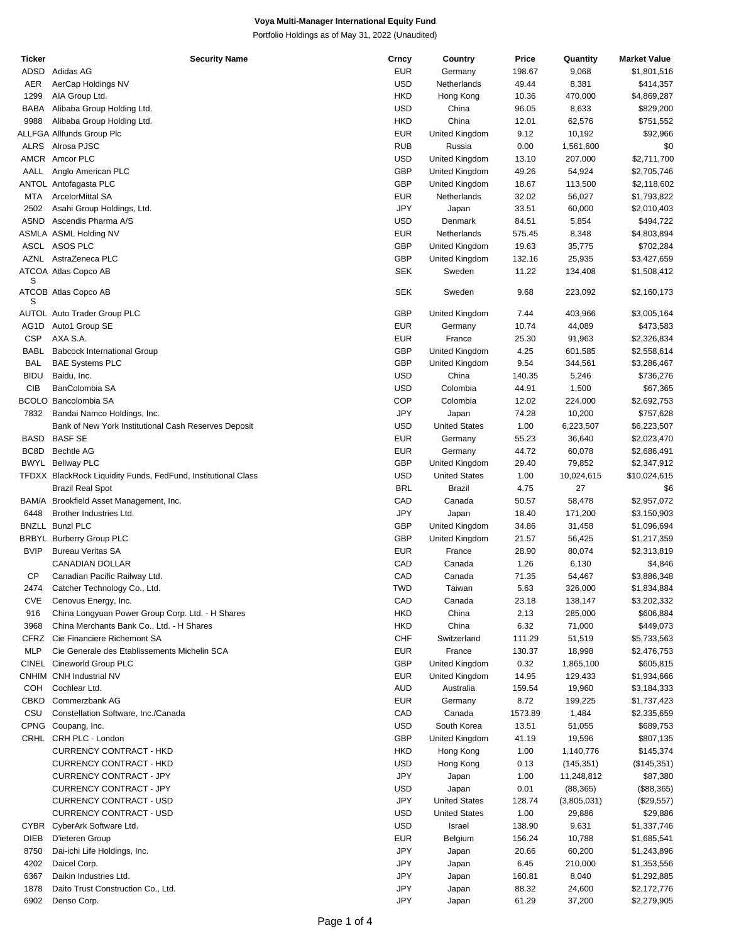Portfolio Holdings as of May 31, 2022 (Unaudited)

| Ticker      | <b>Security Name</b>                                          | Crncy      | Country              | Price   | Quantity    | <b>Market Value</b> |
|-------------|---------------------------------------------------------------|------------|----------------------|---------|-------------|---------------------|
| ADSD        | Adidas AG                                                     | <b>EUR</b> | Germany              | 198.67  | 9,068       | \$1,801,516         |
| AER         | AerCap Holdings NV                                            | <b>USD</b> | Netherlands          | 49.44   | 8,381       | \$414,357           |
|             |                                                               |            |                      |         |             |                     |
| 1299        | AIA Group Ltd.                                                | <b>HKD</b> | Hong Kong            | 10.36   | 470,000     | \$4,869,287         |
| BABA        | Alibaba Group Holding Ltd.                                    | <b>USD</b> | China                | 96.05   | 8,633       | \$829,200           |
| 9988        | Alibaba Group Holding Ltd.                                    | <b>HKD</b> | China                | 12.01   | 62,576      | \$751,552           |
|             | ALLFGA Allfunds Group Plc                                     | <b>EUR</b> | United Kingdom       | 9.12    | 10,192      | \$92,966            |
|             | ALRS Alrosa PJSC                                              | <b>RUB</b> | Russia               | 0.00    | 1,561,600   | \$0                 |
|             | AMCR Amcor PLC                                                | <b>USD</b> | United Kingdom       | 13.10   | 207,000     | \$2,711,700         |
| AALL        | Anglo American PLC                                            | <b>GBP</b> | United Kingdom       | 49.26   | 54,924      | \$2,705,746         |
|             |                                                               |            |                      |         |             |                     |
|             | ANTOL Antofagasta PLC                                         | <b>GBP</b> | United Kingdom       | 18.67   | 113,500     | \$2,118,602         |
| MTA         | <b>ArcelorMittal SA</b>                                       | <b>EUR</b> | Netherlands          | 32.02   | 56,027      | \$1,793,822         |
| 2502        | Asahi Group Holdings, Ltd.                                    | JPY        | Japan                | 33.51   | 60,000      | \$2,010,403         |
| ASND        | Ascendis Pharma A/S                                           | <b>USD</b> | Denmark              | 84.51   | 5,854       | \$494,722           |
|             | ASMLA ASML Holding NV                                         | <b>EUR</b> | Netherlands          | 575.45  | 8,348       | \$4,803,894         |
|             | ASCL ASOS PLC                                                 | <b>GBP</b> | United Kingdom       | 19.63   | 35,775      | \$702,284           |
|             | AZNL AstraZeneca PLC                                          | <b>GBP</b> |                      | 132.16  | 25,935      | \$3,427,659         |
|             |                                                               |            | United Kingdom       |         |             |                     |
| S           | ATCOA Atlas Copco AB                                          | <b>SEK</b> | Sweden               | 11.22   | 134,408     | \$1,508,412         |
|             |                                                               |            |                      |         |             |                     |
| s           | ATCOB Atlas Copco AB                                          | <b>SEK</b> | Sweden               | 9.68    | 223,092     | \$2,160,173         |
|             |                                                               |            |                      |         |             |                     |
|             | <b>AUTOL Auto Trader Group PLC</b>                            | GBP        | United Kingdom       | 7.44    | 403,966     | \$3,005,164         |
| AG1D        | Auto1 Group SE                                                | <b>EUR</b> | Germany              | 10.74   | 44,089      | \$473,583           |
| <b>CSP</b>  | AXA S.A.                                                      | <b>EUR</b> | France               | 25.30   | 91,963      | \$2,326,834         |
| <b>BABL</b> | <b>Babcock International Group</b>                            | GBP        | United Kingdom       | 4.25    | 601,585     | \$2,558,614         |
| <b>BAL</b>  | <b>BAE Systems PLC</b>                                        | <b>GBP</b> | United Kingdom       | 9.54    | 344,561     | \$3,286,467         |
| <b>BIDU</b> | Baidu, Inc.                                                   | <b>USD</b> | China                | 140.35  | 5,246       | \$736,276           |
| CIB         | BanColombia SA                                                | <b>USD</b> | Colombia             | 44.91   | 1,500       | \$67,365            |
|             |                                                               |            |                      |         |             |                     |
|             | <b>BCOLO Bancolombia SA</b>                                   | <b>COP</b> | Colombia             | 12.02   | 224,000     | \$2,692,753         |
| 7832        | Bandai Namco Holdings, Inc.                                   | JPY        | Japan                | 74.28   | 10,200      | \$757,628           |
|             | Bank of New York Institutional Cash Reserves Deposit          | <b>USD</b> | <b>United States</b> | 1.00    | 6,223,507   | \$6,223,507         |
|             | <b>BASD BASF SE</b>                                           | <b>EUR</b> | Germany              | 55.23   | 36,640      | \$2,023,470         |
| BC8D        | <b>Bechtle AG</b>                                             | <b>EUR</b> | Germany              | 44.72   | 60,078      | \$2,686,491         |
|             | <b>BWYL</b> Bellway PLC                                       | <b>GBP</b> | United Kingdom       | 29.40   | 79,852      | \$2,347,912         |
|             |                                                               |            |                      |         |             |                     |
|             | TFDXX BlackRock Liquidity Funds, FedFund, Institutional Class | <b>USD</b> | <b>United States</b> | 1.00    | 10,024,615  | \$10,024,615        |
|             | <b>Brazil Real Spot</b>                                       | <b>BRL</b> | <b>Brazil</b>        | 4.75    | 27          | \$6                 |
|             | BAM/A Brookfield Asset Management, Inc.                       | CAD        | Canada               | 50.57   | 58,478      | \$2,957,072         |
| 6448        | Brother Industries Ltd.                                       | JPY        | Japan                | 18.40   | 171,200     | \$3,150,903         |
|             | <b>BNZLL Bunzl PLC</b>                                        | <b>GBP</b> | United Kingdom       | 34.86   | 31,458      | \$1,096,694         |
|             | <b>BRBYL Burberry Group PLC</b>                               | <b>GBP</b> | United Kingdom       | 21.57   | 56,425      | \$1,217,359         |
|             |                                                               |            |                      |         |             |                     |
| <b>BVIP</b> | <b>Bureau Veritas SA</b>                                      | <b>EUR</b> | France               | 28.90   | 80,074      | \$2,313,819         |
|             | <b>CANADIAN DOLLAR</b>                                        | CAD        | Canada               | 1.26    | 6,130       | \$4,846             |
| СP          | Canadian Pacific Railway Ltd.                                 | CAD        | Canada               | 71.35   | 54,467      | \$3,886,348         |
| 2474        | Catcher Technology Co., Ltd.                                  | <b>TWD</b> | Taiwan               | 5.63    | 326,000     | \$1,834,884         |
| <b>CVE</b>  | Cenovus Energy, Inc.                                          | CAD        | Canada               | 23.18   | 138,147     | \$3,202,332         |
| 916         | China Longyuan Power Group Corp. Ltd. - H Shares              | <b>HKD</b> | China                | 2.13    | 285,000     | \$606,884           |
| 3968        | China Merchants Bank Co., Ltd. - H Shares                     | <b>HKD</b> | China                | 6.32    | 71,000      | \$449,073           |
|             |                                                               |            |                      |         |             |                     |
| <b>CFRZ</b> | Cie Financiere Richemont SA                                   | <b>CHF</b> | Switzerland          | 111.29  | 51,519      | \$5,733,563         |
| MLP         | Cie Generale des Etablissements Michelin SCA                  | <b>EUR</b> | France               | 130.37  | 18,998      | \$2,476,753         |
|             | CINEL Cineworld Group PLC                                     | <b>GBP</b> | United Kingdom       | 0.32    | 1,865,100   | \$605,815           |
|             | CNHIM CNH Industrial NV                                       | <b>EUR</b> | United Kingdom       | 14.95   | 129,433     | \$1,934,666         |
| <b>COH</b>  | Cochlear Ltd.                                                 | <b>AUD</b> | Australia            | 159.54  | 19,960      | \$3,184,333         |
| CBKD        | Commerzbank AG                                                | <b>EUR</b> | Germany              | 8.72    | 199,225     | \$1,737,423         |
|             |                                                               |            |                      |         |             |                     |
| CSU         | Constellation Software, Inc./Canada                           | CAD        | Canada               | 1573.89 | 1,484       | \$2,335,659         |
|             | CPNG Coupang, Inc.                                            | <b>USD</b> | South Korea          | 13.51   | 51,055      | \$689,753           |
|             | CRHL CRH PLC - London                                         | <b>GBP</b> | United Kingdom       | 41.19   | 19,596      | \$807,135           |
|             | CURRENCY CONTRACT - HKD                                       | <b>HKD</b> | Hong Kong            | 1.00    | 1,140,776   | \$145,374           |
|             | <b>CURRENCY CONTRACT - HKD</b>                                | USD        | Hong Kong            | 0.13    | (145, 351)  | (\$145,351)         |
|             | <b>CURRENCY CONTRACT - JPY</b>                                | JPY        | Japan                | 1.00    | 11,248,812  | \$87,380            |
|             |                                                               |            |                      |         |             |                     |
|             | CURRENCY CONTRACT - JPY                                       | USD        | Japan                | 0.01    | (88, 365)   | (\$88,365)          |
|             | CURRENCY CONTRACT - USD                                       | JPY        | <b>United States</b> | 128.74  | (3,805,031) | (\$29,557)          |
|             | <b>CURRENCY CONTRACT - USD</b>                                | <b>USD</b> | <b>United States</b> | 1.00    | 29,886      | \$29,886            |
|             | CYBR CyberArk Software Ltd.                                   | <b>USD</b> | Israel               | 138.90  | 9,631       | \$1,337,746         |
| DIEB        | D'ieteren Group                                               | <b>EUR</b> | Belgium              | 156.24  | 10,788      | \$1,685,541         |
| 8750        | Dai-ichi Life Holdings, Inc.                                  | JPY        | Japan                | 20.66   | 60,200      | \$1,243,896         |
| 4202        | Daicel Corp.                                                  | JPY        |                      |         | 210,000     |                     |
|             |                                                               |            | Japan                | 6.45    |             | \$1,353,556         |
| 6367        | Daikin Industries Ltd.                                        | JPY        | Japan                | 160.81  | 8,040       | \$1,292,885         |
| 1878        | Daito Trust Construction Co., Ltd.                            | JPY        | Japan                | 88.32   | 24,600      | \$2,172,776         |
| 6902        | Denso Corp.                                                   | JPY        | Japan                | 61.29   | 37,200      | \$2,279,905         |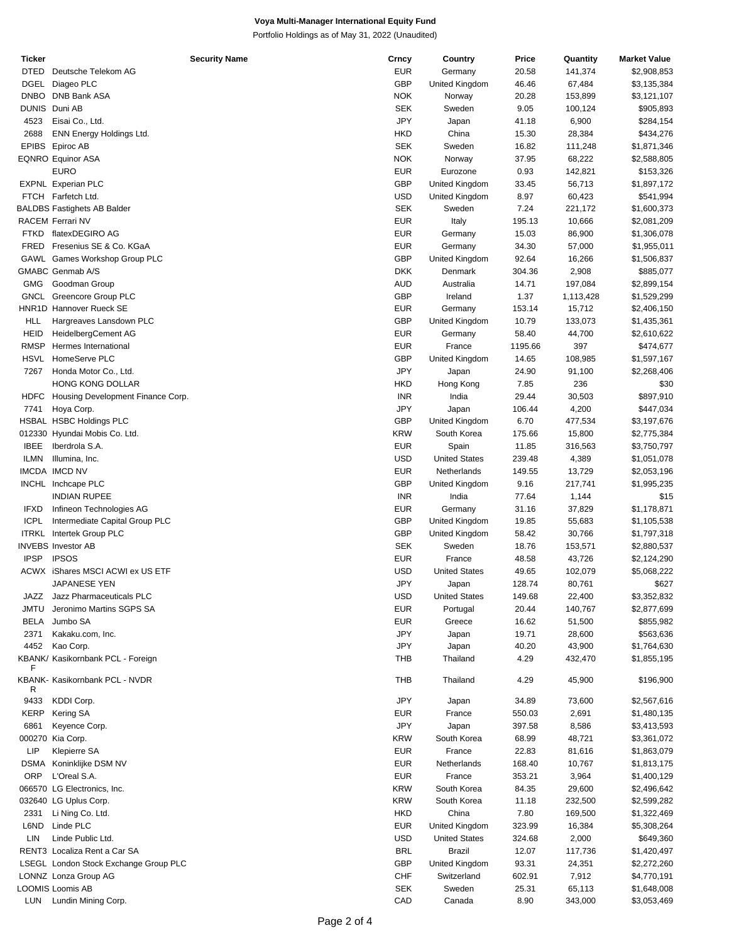Portfolio Holdings as of May 31, 2022 (Unaudited)

| Ticker      | <b>Security Name</b>                  | Crncy      | Country              | Price   | Quantity                                                                                                                                                                                                                                                                                                                                                                                                                                                                                                                                                                                                                   | <b>Market Value</b> |
|-------------|---------------------------------------|------------|----------------------|---------|----------------------------------------------------------------------------------------------------------------------------------------------------------------------------------------------------------------------------------------------------------------------------------------------------------------------------------------------------------------------------------------------------------------------------------------------------------------------------------------------------------------------------------------------------------------------------------------------------------------------------|---------------------|
| <b>DTED</b> | Deutsche Telekom AG                   | <b>EUR</b> | Germany              | 20.58   |                                                                                                                                                                                                                                                                                                                                                                                                                                                                                                                                                                                                                            | \$2,908,853         |
|             | DGEL Diageo PLC                       | <b>GBP</b> | United Kingdom       | 46.46   |                                                                                                                                                                                                                                                                                                                                                                                                                                                                                                                                                                                                                            | \$3,135,384         |
|             | DNBO DNB Bank ASA                     | <b>NOK</b> | Norway               | 20.28   |                                                                                                                                                                                                                                                                                                                                                                                                                                                                                                                                                                                                                            |                     |
|             |                                       |            |                      |         |                                                                                                                                                                                                                                                                                                                                                                                                                                                                                                                                                                                                                            | \$3,121,107         |
|             | DUNIS Duni AB                         | <b>SEK</b> | Sweden               | 9.05    |                                                                                                                                                                                                                                                                                                                                                                                                                                                                                                                                                                                                                            | \$905,893           |
| 4523        | Eisai Co., Ltd.                       | JPY        | Japan                | 41.18   |                                                                                                                                                                                                                                                                                                                                                                                                                                                                                                                                                                                                                            | \$284,154           |
| 2688        | ENN Energy Holdings Ltd.              | <b>HKD</b> | China                | 15.30   | 28,384                                                                                                                                                                                                                                                                                                                                                                                                                                                                                                                                                                                                                     | \$434,276           |
|             | EPIBS Epiroc AB                       | <b>SEK</b> | Sweden               | 16.82   | 111,248                                                                                                                                                                                                                                                                                                                                                                                                                                                                                                                                                                                                                    | \$1,871,346         |
|             | <b>EQNRO Equinor ASA</b>              | <b>NOK</b> | Norway               | 37.95   |                                                                                                                                                                                                                                                                                                                                                                                                                                                                                                                                                                                                                            | \$2,588,805         |
|             | EURO                                  | <b>EUR</b> | Eurozone             | 0.93    | 141,374<br>67,484<br>153,899<br>100,124<br>6,900<br>68,222<br>142,821<br>56,713<br>60,423<br>221,172<br>10,666<br>86,900<br>57,000<br>16,266<br>2,908<br>197,084<br>1,113,428<br>15,712<br>133,073<br>44,700<br>397<br>108,985<br>91,100<br>236<br>30,503<br>4,200<br>477,534<br>15,800<br>316,563<br>4,389<br>13,729<br>217,741<br>1,144<br>37,829<br>55,683<br>30,766<br>153,571<br>43,726<br>102,079<br>80,761<br>22,400<br>140,767<br>51,500<br>28,600<br>43,900<br>432,470<br>45,900<br>73,600<br>2,691<br>8,586<br>48,721<br>81,616<br>10,767<br>3,964<br>29,600<br>232,500<br>169,500<br>16,384<br>2,000<br>117,736 | \$153,326           |
|             | <b>EXPNL Experian PLC</b>             | <b>GBP</b> |                      |         |                                                                                                                                                                                                                                                                                                                                                                                                                                                                                                                                                                                                                            |                     |
|             |                                       |            | United Kingdom       | 33.45   |                                                                                                                                                                                                                                                                                                                                                                                                                                                                                                                                                                                                                            | \$1,897,172         |
|             | FTCH Farfetch Ltd.                    | <b>USD</b> | United Kingdom       | 8.97    |                                                                                                                                                                                                                                                                                                                                                                                                                                                                                                                                                                                                                            | \$541,994           |
|             | <b>BALDBS Fastighets AB Balder</b>    | <b>SEK</b> | Sweden               | 7.24    |                                                                                                                                                                                                                                                                                                                                                                                                                                                                                                                                                                                                                            | \$1,600,373         |
|             | RACEM Ferrari NV                      | <b>EUR</b> | Italy                | 195.13  |                                                                                                                                                                                                                                                                                                                                                                                                                                                                                                                                                                                                                            | \$2,081,209         |
| FTKD        | flatexDEGIRO AG                       | <b>EUR</b> | Germany              | 15.03   |                                                                                                                                                                                                                                                                                                                                                                                                                                                                                                                                                                                                                            | \$1,306,078         |
| FRED        | Fresenius SE & Co. KGaA               | <b>EUR</b> | Germany              | 34.30   |                                                                                                                                                                                                                                                                                                                                                                                                                                                                                                                                                                                                                            | \$1,955,011         |
|             | GAWL Games Workshop Group PLC         | <b>GBP</b> | United Kingdom       | 92.64   |                                                                                                                                                                                                                                                                                                                                                                                                                                                                                                                                                                                                                            |                     |
|             |                                       |            |                      |         |                                                                                                                                                                                                                                                                                                                                                                                                                                                                                                                                                                                                                            | \$1,506,837         |
|             | GMABC Genmab A/S                      | <b>DKK</b> | Denmark              | 304.36  |                                                                                                                                                                                                                                                                                                                                                                                                                                                                                                                                                                                                                            | \$885,077           |
| GMG         | Goodman Group                         | <b>AUD</b> | Australia            | 14.71   |                                                                                                                                                                                                                                                                                                                                                                                                                                                                                                                                                                                                                            | \$2,899,154         |
|             | GNCL Greencore Group PLC              | <b>GBP</b> | Ireland              | 1.37    |                                                                                                                                                                                                                                                                                                                                                                                                                                                                                                                                                                                                                            | \$1,529,299         |
|             | HNR1D Hannover Rueck SE               | <b>EUR</b> | Germany              | 153.14  |                                                                                                                                                                                                                                                                                                                                                                                                                                                                                                                                                                                                                            | \$2,406,150         |
| <b>HLL</b>  | Hargreaves Lansdown PLC               | <b>GBP</b> | United Kingdom       | 10.79   |                                                                                                                                                                                                                                                                                                                                                                                                                                                                                                                                                                                                                            | \$1,435,361         |
| <b>HEID</b> | HeidelbergCement AG                   | <b>EUR</b> | Germany              | 58.40   |                                                                                                                                                                                                                                                                                                                                                                                                                                                                                                                                                                                                                            | \$2,610,622         |
|             |                                       |            |                      |         |                                                                                                                                                                                                                                                                                                                                                                                                                                                                                                                                                                                                                            |                     |
| RMSP        | Hermes International                  | <b>EUR</b> | France               | 1195.66 |                                                                                                                                                                                                                                                                                                                                                                                                                                                                                                                                                                                                                            | \$474,677           |
| <b>HSVL</b> | HomeServe PLC                         | <b>GBP</b> | United Kingdom       | 14.65   |                                                                                                                                                                                                                                                                                                                                                                                                                                                                                                                                                                                                                            | \$1,597,167         |
| 7267        | Honda Motor Co., Ltd.                 | JPY        | Japan                | 24.90   |                                                                                                                                                                                                                                                                                                                                                                                                                                                                                                                                                                                                                            | \$2,268,406         |
|             | <b>HONG KONG DOLLAR</b>               | <b>HKD</b> | Hong Kong            | 7.85    |                                                                                                                                                                                                                                                                                                                                                                                                                                                                                                                                                                                                                            | \$30                |
| <b>HDFC</b> | Housing Development Finance Corp.     | <b>INR</b> | India                | 29.44   |                                                                                                                                                                                                                                                                                                                                                                                                                                                                                                                                                                                                                            | \$897,910           |
| 7741        | Hoya Corp.                            | JPY        | Japan                | 106.44  |                                                                                                                                                                                                                                                                                                                                                                                                                                                                                                                                                                                                                            | \$447,034           |
|             | HSBAL HSBC Holdings PLC               |            |                      |         |                                                                                                                                                                                                                                                                                                                                                                                                                                                                                                                                                                                                                            |                     |
|             |                                       | <b>GBP</b> | United Kingdom       | 6.70    |                                                                                                                                                                                                                                                                                                                                                                                                                                                                                                                                                                                                                            | \$3,197,676         |
|             | 012330 Hyundai Mobis Co. Ltd.         | <b>KRW</b> | South Korea          | 175.66  |                                                                                                                                                                                                                                                                                                                                                                                                                                                                                                                                                                                                                            | \$2,775,384         |
| <b>IBEE</b> | Iberdrola S.A.                        | <b>EUR</b> | Spain                | 11.85   |                                                                                                                                                                                                                                                                                                                                                                                                                                                                                                                                                                                                                            | \$3,750,797         |
| <b>ILMN</b> | Illumina, Inc.                        | <b>USD</b> | <b>United States</b> | 239.48  |                                                                                                                                                                                                                                                                                                                                                                                                                                                                                                                                                                                                                            | \$1,051,078         |
|             | IMCDA IMCD NV                         | <b>EUR</b> | Netherlands          | 149.55  |                                                                                                                                                                                                                                                                                                                                                                                                                                                                                                                                                                                                                            | \$2,053,196         |
|             | INCHL Inchcape PLC                    | <b>GBP</b> | United Kingdom       | 9.16    |                                                                                                                                                                                                                                                                                                                                                                                                                                                                                                                                                                                                                            | \$1,995,235         |
|             | <b>INDIAN RUPEE</b>                   | <b>INR</b> |                      |         |                                                                                                                                                                                                                                                                                                                                                                                                                                                                                                                                                                                                                            |                     |
|             |                                       |            | India                | 77.64   |                                                                                                                                                                                                                                                                                                                                                                                                                                                                                                                                                                                                                            | \$15                |
| <b>IFXD</b> | Infineon Technologies AG              | <b>EUR</b> | Germany              | 31.16   |                                                                                                                                                                                                                                                                                                                                                                                                                                                                                                                                                                                                                            | \$1,178,871         |
| <b>ICPL</b> | Intermediate Capital Group PLC        | <b>GBP</b> | United Kingdom       | 19.85   |                                                                                                                                                                                                                                                                                                                                                                                                                                                                                                                                                                                                                            | \$1,105,538         |
|             | <b>ITRKL</b> Intertek Group PLC       | <b>GBP</b> | United Kingdom       | 58.42   |                                                                                                                                                                                                                                                                                                                                                                                                                                                                                                                                                                                                                            | \$1,797,318         |
|             | <b>INVEBS Investor AB</b>             | <b>SEK</b> | Sweden               | 18.76   |                                                                                                                                                                                                                                                                                                                                                                                                                                                                                                                                                                                                                            | \$2,880,537         |
| <b>IPSP</b> | <b>IPSOS</b>                          | <b>EUR</b> | France               | 48.58   |                                                                                                                                                                                                                                                                                                                                                                                                                                                                                                                                                                                                                            | \$2,124,290         |
|             | ACWX iShares MSCI ACWI ex US ETF      | <b>USD</b> | <b>United States</b> | 49.65   |                                                                                                                                                                                                                                                                                                                                                                                                                                                                                                                                                                                                                            | \$5,068,222         |
|             |                                       |            |                      |         |                                                                                                                                                                                                                                                                                                                                                                                                                                                                                                                                                                                                                            |                     |
|             | JAPANESE YEN                          | JPY        | Japan                | 128.74  |                                                                                                                                                                                                                                                                                                                                                                                                                                                                                                                                                                                                                            | \$627               |
| JAZZ        | Jazz Pharmaceuticals PLC              | <b>USD</b> | <b>United States</b> | 149.68  |                                                                                                                                                                                                                                                                                                                                                                                                                                                                                                                                                                                                                            | \$3,352,832         |
| JMTU        | Jeronimo Martins SGPS SA              | <b>EUR</b> | Portugal             | 20.44   |                                                                                                                                                                                                                                                                                                                                                                                                                                                                                                                                                                                                                            | \$2,877,699         |
| <b>BELA</b> | Jumbo SA                              | <b>EUR</b> | Greece               | 16.62   |                                                                                                                                                                                                                                                                                                                                                                                                                                                                                                                                                                                                                            | \$855,982           |
| 2371        | Kakaku.com, Inc.                      | JPY        | Japan                | 19.71   |                                                                                                                                                                                                                                                                                                                                                                                                                                                                                                                                                                                                                            | \$563,636           |
| 4452        | Kao Corp.                             | JPY        | Japan                | 40.20   |                                                                                                                                                                                                                                                                                                                                                                                                                                                                                                                                                                                                                            | \$1,764,630         |
|             |                                       |            |                      |         |                                                                                                                                                                                                                                                                                                                                                                                                                                                                                                                                                                                                                            |                     |
| F           | KBANK/ Kasikornbank PCL - Foreign     | THB        | Thailand             | 4.29    |                                                                                                                                                                                                                                                                                                                                                                                                                                                                                                                                                                                                                            | \$1,855,195         |
|             | <b>KBANK- Kasikornbank PCL - NVDR</b> |            |                      |         |                                                                                                                                                                                                                                                                                                                                                                                                                                                                                                                                                                                                                            |                     |
| R           |                                       | THB        | Thailand             | 4.29    |                                                                                                                                                                                                                                                                                                                                                                                                                                                                                                                                                                                                                            | \$196,900           |
|             |                                       |            |                      |         |                                                                                                                                                                                                                                                                                                                                                                                                                                                                                                                                                                                                                            |                     |
| 9433        | KDDI Corp.                            | JPY        | Japan                | 34.89   |                                                                                                                                                                                                                                                                                                                                                                                                                                                                                                                                                                                                                            | \$2,567,616         |
| KERP        | Kering SA                             | <b>EUR</b> | France               | 550.03  |                                                                                                                                                                                                                                                                                                                                                                                                                                                                                                                                                                                                                            | \$1,480,135         |
| 6861        | Keyence Corp.                         | JPY        | Japan                | 397.58  |                                                                                                                                                                                                                                                                                                                                                                                                                                                                                                                                                                                                                            | \$3,413,593         |
|             | 000270 Kia Corp.                      | <b>KRW</b> | South Korea          | 68.99   |                                                                                                                                                                                                                                                                                                                                                                                                                                                                                                                                                                                                                            | \$3,361,072         |
| LIP         | Klepierre SA                          | <b>EUR</b> | France               | 22.83   |                                                                                                                                                                                                                                                                                                                                                                                                                                                                                                                                                                                                                            | \$1,863,079         |
|             | DSMA Koninklijke DSM NV               | <b>EUR</b> | Netherlands          | 168.40  |                                                                                                                                                                                                                                                                                                                                                                                                                                                                                                                                                                                                                            | \$1,813,175         |
|             |                                       |            |                      |         |                                                                                                                                                                                                                                                                                                                                                                                                                                                                                                                                                                                                                            |                     |
| <b>ORP</b>  | L'Oreal S.A.                          | <b>EUR</b> | France               | 353.21  |                                                                                                                                                                                                                                                                                                                                                                                                                                                                                                                                                                                                                            | \$1,400,129         |
|             | 066570 LG Electronics, Inc.           | <b>KRW</b> | South Korea          | 84.35   |                                                                                                                                                                                                                                                                                                                                                                                                                                                                                                                                                                                                                            | \$2,496,642         |
|             | 032640 LG Uplus Corp.                 | <b>KRW</b> | South Korea          | 11.18   |                                                                                                                                                                                                                                                                                                                                                                                                                                                                                                                                                                                                                            | \$2,599,282         |
| 2331        | Li Ning Co. Ltd.                      | <b>HKD</b> | China                | 7.80    |                                                                                                                                                                                                                                                                                                                                                                                                                                                                                                                                                                                                                            | \$1,322,469         |
| L6ND        | Linde PLC                             | <b>EUR</b> | United Kingdom       | 323.99  |                                                                                                                                                                                                                                                                                                                                                                                                                                                                                                                                                                                                                            | \$5,308,264         |
| LIN         | Linde Public Ltd.                     | <b>USD</b> | <b>United States</b> | 324.68  |                                                                                                                                                                                                                                                                                                                                                                                                                                                                                                                                                                                                                            | \$649,360           |
|             |                                       |            |                      |         |                                                                                                                                                                                                                                                                                                                                                                                                                                                                                                                                                                                                                            |                     |
|             | RENT3 Localiza Rent a Car SA          | <b>BRL</b> | Brazil               | 12.07   |                                                                                                                                                                                                                                                                                                                                                                                                                                                                                                                                                                                                                            | \$1,420,497         |
|             | LSEGL London Stock Exchange Group PLC | <b>GBP</b> | United Kingdom       | 93.31   | 24,351                                                                                                                                                                                                                                                                                                                                                                                                                                                                                                                                                                                                                     | \$2,272,260         |
|             | LONNZ Lonza Group AG                  | <b>CHF</b> | Switzerland          | 602.91  | 7,912                                                                                                                                                                                                                                                                                                                                                                                                                                                                                                                                                                                                                      | \$4,770,191         |
|             | <b>LOOMIS Loomis AB</b>               | <b>SEK</b> | Sweden               | 25.31   | 65,113                                                                                                                                                                                                                                                                                                                                                                                                                                                                                                                                                                                                                     | \$1,648,008         |
|             | LUN Lundin Mining Corp.               | CAD        | Canada               | 8.90    | 343,000                                                                                                                                                                                                                                                                                                                                                                                                                                                                                                                                                                                                                    | \$3,053,469         |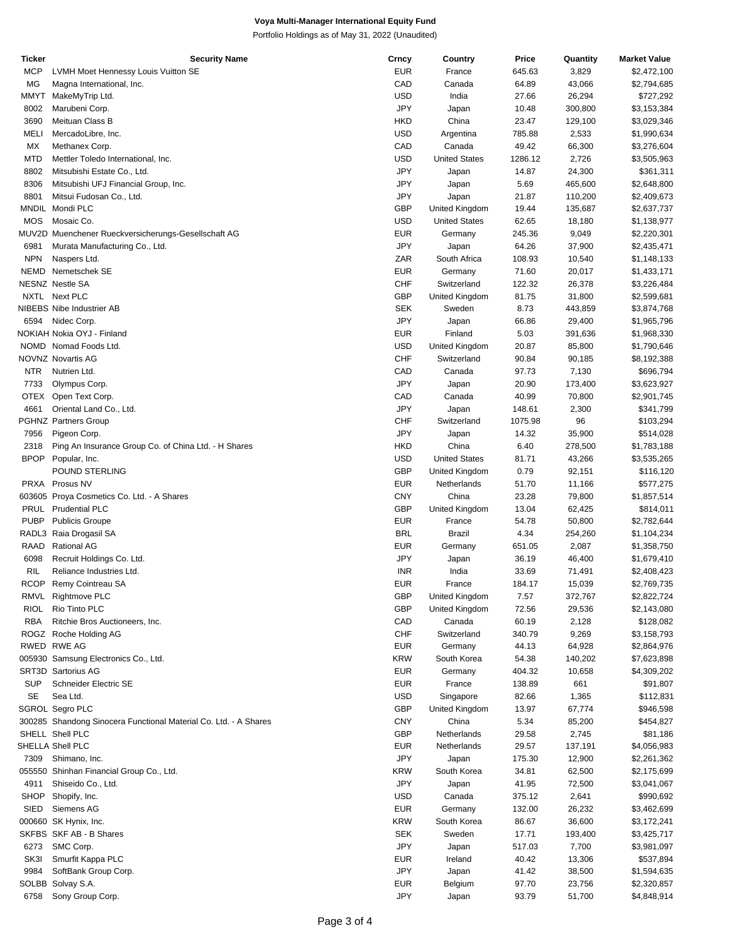Portfolio Holdings as of May 31, 2022 (Unaudited)

| Ticker      | <b>Security Name</b>                                             | Crncy      | Country              | Price   | Quantity | <b>Market Value</b> |
|-------------|------------------------------------------------------------------|------------|----------------------|---------|----------|---------------------|
| <b>MCP</b>  | LVMH Moet Hennessy Louis Vuitton SE                              | <b>EUR</b> | France               | 645.63  | 3,829    | \$2,472,100         |
| MG          | Magna International, Inc.                                        | CAD        | Canada               | 64.89   | 43,066   | \$2,794,685         |
| <b>MMYT</b> | MakeMyTrip Ltd.                                                  | USD        | India                | 27.66   | 26,294   | \$727,292           |
| 8002        | Marubeni Corp.                                                   | <b>JPY</b> | Japan                | 10.48   | 300,800  | \$3,153,384         |
|             |                                                                  |            |                      |         |          |                     |
| 3690        | Meituan Class B                                                  | <b>HKD</b> | China                | 23.47   | 129,100  | \$3,029,346         |
| <b>MELI</b> | MercadoLibre, Inc.                                               | <b>USD</b> | Argentina            | 785.88  | 2,533    | \$1,990,634         |
| MX          | Methanex Corp.                                                   | CAD        | Canada               | 49.42   | 66,300   | \$3,276,604         |
| <b>MTD</b>  | Mettler Toledo International, Inc.                               | <b>USD</b> | <b>United States</b> | 1286.12 | 2,726    | \$3,505,963         |
| 8802        | Mitsubishi Estate Co., Ltd.                                      | <b>JPY</b> | Japan                | 14.87   | 24,300   | \$361,311           |
| 8306        | Mitsubishi UFJ Financial Group, Inc.                             | JPY        | Japan                | 5.69    | 465,600  | \$2,648,800         |
| 8801        | Mitsui Fudosan Co., Ltd.                                         | JPY        | Japan                | 21.87   | 110,200  | \$2,409,673         |
|             | MNDIL Mondi PLC                                                  | <b>GBP</b> |                      |         |          |                     |
|             |                                                                  |            | United Kingdom       | 19.44   | 135,687  | \$2,637,737         |
| <b>MOS</b>  | Mosaic Co.                                                       | USD        | <b>United States</b> | 62.65   | 18,180   | \$1,138,977         |
|             | MUV2D Muenchener Rueckversicherungs-Gesellschaft AG              | <b>EUR</b> | Germany              | 245.36  | 9,049    | \$2,220,301         |
| 6981        | Murata Manufacturing Co., Ltd.                                   | <b>JPY</b> | Japan                | 64.26   | 37,900   | \$2,435,471         |
| <b>NPN</b>  | Naspers Ltd.                                                     | ZAR        | South Africa         | 108.93  | 10,540   | \$1,148,133         |
| NEMD        | Nemetschek SE                                                    | <b>EUR</b> | Germany              | 71.60   | 20,017   | \$1,433,171         |
|             | <b>NESNZ Nestle SA</b>                                           | <b>CHF</b> | Switzerland          | 122.32  | 26,378   | \$3,226,484         |
|             | NXTL Next PLC                                                    | <b>GBP</b> | United Kingdom       | 81.75   | 31,800   | \$2,599,681         |
|             |                                                                  |            |                      |         |          |                     |
|             | <b>NIBEBS Nibe Industrier AB</b>                                 | <b>SEK</b> | Sweden               | 8.73    | 443,859  | \$3,874,768         |
| 6594        | Nidec Corp.                                                      | <b>JPY</b> | Japan                | 66.86   | 29,400   | \$1,965,796         |
|             | NOKIAH Nokia OYJ - Finland                                       | <b>EUR</b> | Finland              | 5.03    | 391,636  | \$1,968,330         |
|             | NOMD Nomad Foods Ltd.                                            | USD        | United Kingdom       | 20.87   | 85,800   | \$1,790,646         |
|             | NOVNZ Novartis AG                                                | <b>CHF</b> | Switzerland          | 90.84   | 90,185   | \$8,192,388         |
| NTR.        | Nutrien Ltd.                                                     | CAD        | Canada               | 97.73   | 7,130    | \$696,794           |
|             |                                                                  |            |                      |         |          |                     |
| 7733        | Olympus Corp.                                                    | JPY        | Japan                | 20.90   | 173,400  | \$3,623,927         |
| OTEX        | Open Text Corp.                                                  | CAD        | Canada               | 40.99   | 70,800   | \$2,901,745         |
| 4661        | Oriental Land Co., Ltd.                                          | <b>JPY</b> | Japan                | 148.61  | 2,300    | \$341,799           |
|             | <b>PGHNZ Partners Group</b>                                      | <b>CHF</b> | Switzerland          | 1075.98 | 96       | \$103,294           |
| 7956        | Pigeon Corp.                                                     | <b>JPY</b> | Japan                | 14.32   | 35,900   | \$514,028           |
| 2318        | Ping An Insurance Group Co. of China Ltd. - H Shares             | <b>HKD</b> | China                | 6.40    | 278,500  | \$1,783,188         |
| <b>BPOP</b> | Popular, Inc.                                                    | <b>USD</b> | <b>United States</b> | 81.71   | 43,266   | \$3,535,265         |
|             |                                                                  |            |                      |         |          |                     |
|             | POUND STERLING                                                   | <b>GBP</b> | United Kingdom       | 0.79    | 92,151   | \$116,120           |
|             | PRXA Prosus NV                                                   | <b>EUR</b> | Netherlands          | 51.70   | 11,166   | \$577,275           |
|             | 603605 Proya Cosmetics Co. Ltd. - A Shares                       | <b>CNY</b> | China                | 23.28   | 79,800   | \$1,857,514         |
| <b>PRUL</b> | <b>Prudential PLC</b>                                            | <b>GBP</b> | United Kingdom       | 13.04   | 62,425   | \$814,011           |
| <b>PUBP</b> | <b>Publicis Groupe</b>                                           | <b>EUR</b> | France               | 54.78   | 50,800   | \$2,782,644         |
|             | RADL3 Raia Drogasil SA                                           | <b>BRL</b> | Brazil               | 4.34    | 254,260  | \$1,104,234         |
| RAAD        | <b>Rational AG</b>                                               | <b>EUR</b> | Germany              | 651.05  | 2,087    | \$1,358,750         |
|             |                                                                  |            |                      |         |          |                     |
| 6098        | Recruit Holdings Co. Ltd.                                        | JPY        | Japan                | 36.19   | 46,400   | \$1,679,410         |
| <b>RIL</b>  | Reliance Industries Ltd.                                         | <b>INR</b> | India                | 33.69   | 71,491   | \$2,408,423         |
|             | RCOP Remy Cointreau SA                                           | <b>EUR</b> | France               | 184.17  | 15,039   | \$2,769,735         |
|             | RMVL Rightmove PLC                                               | <b>GBP</b> | United Kingdom       | 7.57    | 372,767  | \$2,822,724         |
| <b>RIOL</b> | Rio Tinto PLC                                                    | <b>GBP</b> | United Kingdom       | 72.56   | 29,536   | \$2,143,080         |
| <b>RBA</b>  | Ritchie Bros Auctioneers, Inc.                                   | CAD        | Canada               | 60.19   | 2,128    | \$128,082           |
|             | ROGZ Roche Holding AG                                            | <b>CHF</b> | Switzerland          | 340.79  | 9,269    | \$3,158,793         |
|             |                                                                  |            |                      |         |          |                     |
|             | RWED RWE AG                                                      | <b>EUR</b> | Germany              | 44.13   | 64,928   | \$2,864,976         |
|             | 005930 Samsung Electronics Co., Ltd.                             | <b>KRW</b> | South Korea          | 54.38   | 140,202  | \$7,623,898         |
|             | SRT3D Sartorius AG                                               | <b>EUR</b> | Germany              | 404.32  | 10,658   | \$4,309,202         |
| <b>SUP</b>  | Schneider Electric SE                                            | <b>EUR</b> | France               | 138.89  | 661      | \$91,807            |
| SE          | Sea Ltd.                                                         | <b>USD</b> | Singapore            | 82.66   | 1,365    | \$112,831           |
|             | SGROL Segro PLC                                                  | <b>GBP</b> | United Kingdom       | 13.97   | 67,774   | \$946,598           |
|             | 300285 Shandong Sinocera Functional Material Co. Ltd. - A Shares | <b>CNY</b> | China                | 5.34    | 85,200   | \$454,827           |
|             |                                                                  |            |                      |         |          |                     |
|             | SHELL Shell PLC                                                  | <b>GBP</b> | Netherlands          | 29.58   | 2,745    | \$81,186            |
|             | SHELLA Shell PLC                                                 | EUR        | Netherlands          | 29.57   | 137,191  | \$4,056,983         |
| 7309        | Shimano, Inc.                                                    | JPY        | Japan                | 175.30  | 12,900   | \$2,261,362         |
|             | 055550 Shinhan Financial Group Co., Ltd.                         | <b>KRW</b> | South Korea          | 34.81   | 62,500   | \$2,175,699         |
| 4911        | Shiseido Co., Ltd.                                               | <b>JPY</b> | Japan                | 41.95   | 72,500   | \$3,041,067         |
| <b>SHOP</b> | Shopify, Inc.                                                    | USD        | Canada               | 375.12  | 2,641    | \$990,692           |
| <b>SIED</b> | Siemens AG                                                       | <b>EUR</b> | Germany              |         |          |                     |
|             |                                                                  |            |                      | 132.00  | 26,232   | \$3,462,699         |
|             | 000660 SK Hynix, Inc.                                            | <b>KRW</b> | South Korea          | 86.67   | 36,600   | \$3,172,241         |
|             | SKFBS SKF AB - B Shares                                          | <b>SEK</b> | Sweden               | 17.71   | 193,400  | \$3,425,717         |
| 6273        | SMC Corp.                                                        | JPY        | Japan                | 517.03  | 7,700    | \$3,981,097         |
| SK3I        | Smurfit Kappa PLC                                                | EUR        | Ireland              | 40.42   | 13,306   | \$537,894           |
| 9984        | SoftBank Group Corp.                                             | <b>JPY</b> | Japan                | 41.42   | 38,500   | \$1,594,635         |
|             | SOLBB Solvay S.A.                                                | <b>EUR</b> | Belgium              | 97.70   | 23,756   | \$2,320,857         |
|             |                                                                  | <b>JPY</b> |                      |         |          |                     |
| 6758        | Sony Group Corp.                                                 |            | Japan                | 93.79   | 51,700   | \$4,848,914         |